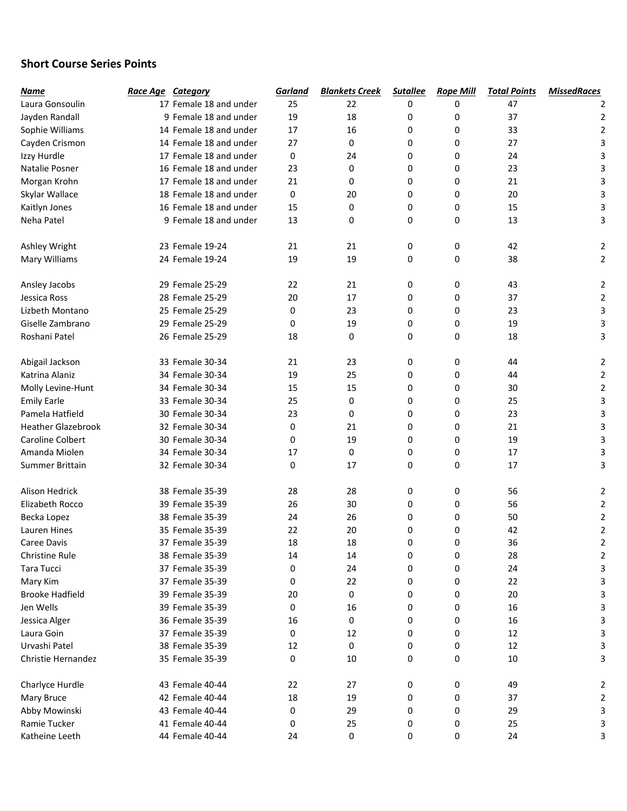## Short Course Series Points

| Name                      | Race Age Category      | Garland | <b>Blankets Creek</b> | <b>Sutallee</b> | <b>Rope Mill</b> | <b>Total Points</b> | <b>MissedRaces</b> |
|---------------------------|------------------------|---------|-----------------------|-----------------|------------------|---------------------|--------------------|
| Laura Gonsoulin           | 17 Female 18 and under | 25      | 22                    | 0               | 0                | 47                  |                    |
| Jayden Randall            | 9 Female 18 and under  | 19      | 18                    | 0               | 0                | 37                  | 2                  |
| Sophie Williams           | 14 Female 18 and under | 17      | 16                    | 0               | 0                | 33                  | $\overline{2}$     |
| Cayden Crismon            | 14 Female 18 and under | 27      | 0                     | 0               | 0                | 27                  | 3                  |
| Izzy Hurdle               | 17 Female 18 and under | 0       | 24                    | 0               | 0                | 24                  | 3                  |
| Natalie Posner            | 16 Female 18 and under | 23      | 0                     | 0               | 0                | 23                  | 3                  |
| Morgan Krohn              | 17 Female 18 and under | 21      | 0                     | 0               | 0                | 21                  | 3                  |
| Skylar Wallace            | 18 Female 18 and under | 0       | 20                    | 0               | 0                | 20                  | 3                  |
| Kaitlyn Jones             | 16 Female 18 and under | 15      | 0                     | 0               | 0                | 15                  | 3                  |
| Neha Patel                | 9 Female 18 and under  | 13      | 0                     | 0               | 0                | 13                  | 3                  |
|                           |                        |         |                       |                 |                  |                     |                    |
| Ashley Wright             | 23 Female 19-24        | 21      | 21                    | 0               | 0                | 42                  | 2                  |
| Mary Williams             | 24 Female 19-24        | 19      | 19                    | 0               | 0                | 38                  | 2                  |
|                           |                        |         |                       |                 |                  |                     |                    |
| Ansley Jacobs             | 29 Female 25-29        | 22      | 21                    | 0               | 0                | 43                  | 2                  |
| Jessica Ross              | 28 Female 25-29        | 20      | 17                    | 0               | 0                | 37                  | 2                  |
| Lizbeth Montano           | 25 Female 25-29        | 0       | 23                    | 0               | 0                | 23                  | 3                  |
| Giselle Zambrano          | 29 Female 25-29        | 0       | 19                    | 0               | 0                | 19                  | 3                  |
| Roshani Patel             | 26 Female 25-29        | 18      | 0                     | 0               | 0                | 18                  | 3                  |
|                           |                        |         |                       |                 |                  |                     |                    |
| Abigail Jackson           | 33 Female 30-34        | 21      | 23                    | 0               | 0                | 44                  | 2                  |
| Katrina Alaniz            | 34 Female 30-34        | 19      | 25                    | 0               | 0                | 44                  | 2                  |
| Molly Levine-Hunt         | 34 Female 30-34        | 15      | 15                    | 0               | 0                | 30                  | $\overline{2}$     |
| <b>Emily Earle</b>        | 33 Female 30-34        | 25      | 0                     | 0               | 0                | 25                  | 3                  |
| Pamela Hatfield           | 30 Female 30-34        | 23      | 0                     | 0               | 0                | 23                  | 3                  |
| <b>Heather Glazebrook</b> | 32 Female 30-34        | 0       | 21                    | 0               | 0                | 21                  | 3                  |
| <b>Caroline Colbert</b>   | 30 Female 30-34        | 0       | 19                    | 0               | 0                | 19                  | 3                  |
| Amanda Miolen             | 34 Female 30-34        | 17      | 0                     | 0               | 0                | 17                  | 3                  |
| Summer Brittain           | 32 Female 30-34        | 0       | 17                    | 0               | 0                | 17                  | 3                  |
|                           |                        |         |                       |                 |                  |                     |                    |
| <b>Alison Hedrick</b>     | 38 Female 35-39        | 28      | 28                    | 0               | 0                | 56                  | 2                  |
| Elizabeth Rocco           | 39 Female 35-39        | 26      | 30                    | 0               | 0                | 56                  | 2                  |
| Becka Lopez               | 38 Female 35-39        | 24      | 26                    | 0               | 0                | 50                  | $\overline{2}$     |
| Lauren Hines              | 35 Female 35-39        | 22      | 20                    | 0               | 0                | 42                  | $\overline{2}$     |
| Caree Davis               | 37 Female 35-39        | 18      | 18                    | 0               | 0                | 36                  | $\mathfrak z$      |
| Christine Rule            | 38 Female 35-39        | 14      | 14                    | 0               | 0                | 28                  | 2                  |
| Tara Tucci                | 37 Female 35-39        | 0       | 24                    | 0               | 0                | 24                  | 3                  |
| Mary Kim                  | 37 Female 35-39        | 0       | 22                    | 0               | 0                | 22                  | 3                  |
| <b>Brooke Hadfield</b>    | 39 Female 35-39        | 20      | 0                     | 0               | 0                | 20                  |                    |
| Jen Wells                 | 39 Female 35-39        | 0       | 16                    | 0               | 0                | 16                  | 3                  |
| Jessica Alger             | 36 Female 35-39        | 16      | 0                     | 0               | 0                | 16                  |                    |
| Laura Goin                | 37 Female 35-39        | 0       | 12                    | 0               | 0                | 12                  | 3                  |
| Urvashi Patel             | 38 Female 35-39        | 12      | 0                     | 0               | 0                | 12                  | 3                  |
| Christie Hernandez        | 35 Female 35-39        | 0       | 10                    | 0               | 0                | 10                  | 3                  |
|                           |                        |         |                       |                 |                  |                     |                    |
| Charlyce Hurdle           | 43 Female 40-44        | 22      | 27                    | 0               | 0                | 49                  | 2                  |
| Mary Bruce                | 42 Female 40-44        | 18      | 19                    | 0               | 0                | 37                  | 2                  |
| Abby Mowinski             | 43 Female 40-44        | 0       | 29                    | 0               | 0                | 29                  | 3                  |
| Ramie Tucker              | 41 Female 40-44        | 0       | 25                    | 0               | 0                | 25                  |                    |
| Katheine Leeth            | 44 Female 40-44        | 24      | 0                     | 0               | 0                | 24                  | 3                  |
|                           |                        |         |                       |                 |                  |                     |                    |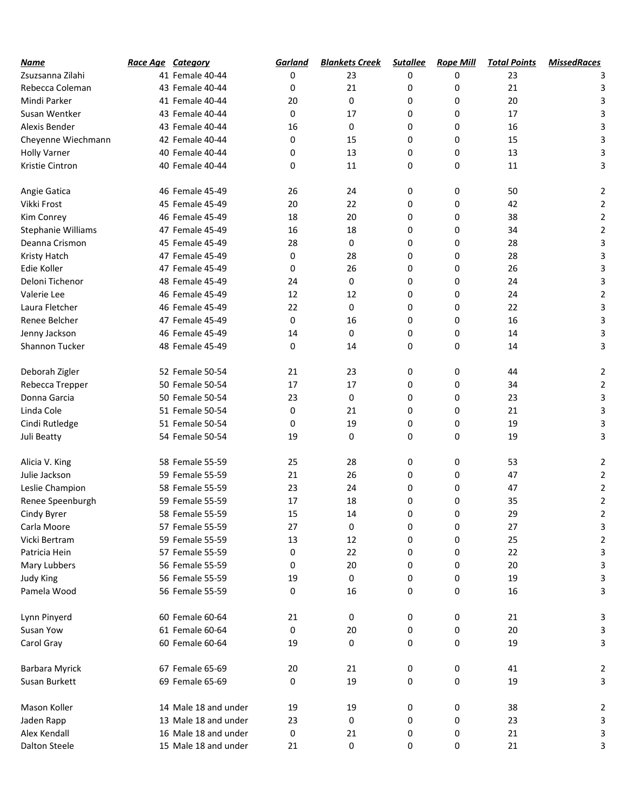| Name                | Race Age Category |                      | Garland | <b>Blankets Creek</b> | <b>Sutallee</b> | <b>Rope Mill</b> | <b>Total Points</b> | <b>MissedRaces</b> |
|---------------------|-------------------|----------------------|---------|-----------------------|-----------------|------------------|---------------------|--------------------|
| Zsuzsanna Zilahi    |                   | 41 Female 40-44      | 0       | 23                    | 0               | 0                | 23                  |                    |
| Rebecca Coleman     |                   | 43 Female 40-44      | 0       | 21                    | 0               | 0                | 21                  | 3                  |
| Mindi Parker        |                   | 41 Female 40-44      | 20      | 0                     | 0               | 0                | 20                  | 3                  |
| Susan Wentker       |                   | 43 Female 40-44      | 0       | 17                    | 0               | 0                | 17                  | 3                  |
| Alexis Bender       |                   | 43 Female 40-44      | 16      | 0                     | 0               | 0                | 16                  | 3                  |
| Cheyenne Wiechmann  |                   | 42 Female 40-44      | 0       | 15                    | 0               | 0                | 15                  | 3                  |
| <b>Holly Varner</b> |                   | 40 Female 40-44      | 0       | 13                    | 0               | 0                | 13                  | 3                  |
| Kristie Cintron     |                   | 40 Female 40-44      | 0       | 11                    | 0               | 0                | 11                  | 3                  |
| Angie Gatica        |                   | 46 Female 45-49      | 26      | 24                    | 0               | 0                | 50                  | $\overline{2}$     |
| Vikki Frost         |                   | 45 Female 45-49      | 20      | 22                    | 0               | 0                | 42                  | 2                  |
| Kim Conrey          |                   | 46 Female 45-49      | 18      | 20                    | 0               | 0                | 38                  | 2                  |
| Stephanie Williams  |                   | 47 Female 45-49      | 16      | 18                    | 0               | 0                | 34                  | $\mathbf 2$        |
| Deanna Crismon      |                   | 45 Female 45-49      | 28      | 0                     | 0               | 0                | 28                  | 3                  |
| Kristy Hatch        |                   | 47 Female 45-49      | 0       | 28                    | 0               | 0                | 28                  | 3                  |
| Edie Koller         |                   | 47 Female 45-49      | 0       | 26                    | 0               | 0                | 26                  | 3                  |
| Deloni Tichenor     |                   | 48 Female 45-49      | 24      | 0                     | 0               | 0                | 24                  | 3                  |
| Valerie Lee         |                   | 46 Female 45-49      | 12      | 12                    | 0               | 0                | 24                  | $\overline{2}$     |
| Laura Fletcher      |                   | 46 Female 45-49      | 22      | 0                     | 0               | 0                | 22                  | 3                  |
| Renee Belcher       |                   | 47 Female 45-49      | 0       | 16                    | 0               | 0                | 16                  | 3                  |
| Jenny Jackson       |                   | 46 Female 45-49      | 14      | 0                     | 0               | 0                | 14                  | 3                  |
| Shannon Tucker      |                   | 48 Female 45-49      | 0       | 14                    | 0               | 0                | 14                  | 3                  |
| Deborah Zigler      |                   | 52 Female 50-54      | 21      | 23                    | 0               | 0                | 44                  | $\overline{2}$     |
| Rebecca Trepper     |                   | 50 Female 50-54      | 17      | 17                    | 0               | 0                | 34                  | $\overline{2}$     |
| Donna Garcia        |                   | 50 Female 50-54      | 23      | 0                     | 0               | 0                | 23                  | 3                  |
| Linda Cole          |                   | 51 Female 50-54      | 0       | 21                    | 0               | 0                | 21                  | 3                  |
| Cindi Rutledge      |                   | 51 Female 50-54      | 0       | 19                    | 0               | 0                | 19                  | 3                  |
| Juli Beatty         |                   | 54 Female 50-54      | 19      | 0                     | 0               | 0                | 19                  | 3                  |
| Alicia V. King      |                   | 58 Female 55-59      | 25      | 28                    | 0               | 0                | 53                  | 2                  |
| Julie Jackson       |                   | 59 Female 55-59      | 21      | 26                    | 0               | 0                | 47                  | $\overline{2}$     |
| Leslie Champion     |                   | 58 Female 55-59      | 23      | 24                    | 0               | 0                | 47                  | $\overline{2}$     |
| Renee Speenburgh    |                   | 59 Female 55-59      | 17      | 18                    | 0               | 0                | 35                  | $\overline{2}$     |
| Cindy Byrer         |                   | 58 Female 55-59      | 15      | 14                    | 0               | 0                | 29                  | 2                  |
| Carla Moore         |                   | 57 Female 55-59      | 27      | 0                     | 0               | 0                | 27                  | 3                  |
| Vicki Bertram       |                   | 59 Female 55-59      | 13      | 12                    | 0               | 0                | 25                  | 2                  |
| Patricia Hein       |                   | 57 Female 55-59      | 0       | 22                    | 0               | 0                | 22                  | 3                  |
| Mary Lubbers        |                   | 56 Female 55-59      | 0       | 20                    | 0               | 0                | 20                  | 3                  |
| Judy King           |                   | 56 Female 55-59      | 19      | 0                     | 0               | 0                | 19                  | 3                  |
| Pamela Wood         |                   | 56 Female 55-59      | 0       | 16                    | 0               | 0                | 16                  | 3                  |
| Lynn Pinyerd        |                   | 60 Female 60-64      | 21      | 0                     | 0               | 0                | 21                  | 3                  |
| Susan Yow           |                   | 61 Female 60-64      | 0       | 20                    | 0               | 0                | 20                  | 3                  |
| Carol Gray          |                   | 60 Female 60-64      | 19      | 0                     | 0               | 0                | 19                  | 3                  |
| Barbara Myrick      |                   | 67 Female 65-69      | 20      | 21                    | 0               | 0                | 41                  | 2                  |
| Susan Burkett       |                   | 69 Female 65-69      | 0       | 19                    | 0               | 0                | 19                  | 3                  |
| Mason Koller        |                   | 14 Male 18 and under | 19      | 19                    | 0               | 0                | 38                  | 2                  |
| Jaden Rapp          |                   | 13 Male 18 and under | 23      | 0                     | 0               | 0                | 23                  | 3                  |
| Alex Kendall        |                   | 16 Male 18 and under | 0       | 21                    | 0               | 0                | 21                  | 3                  |
| Dalton Steele       |                   | 15 Male 18 and under | 21      | 0                     | 0               | 0                | 21                  | 3                  |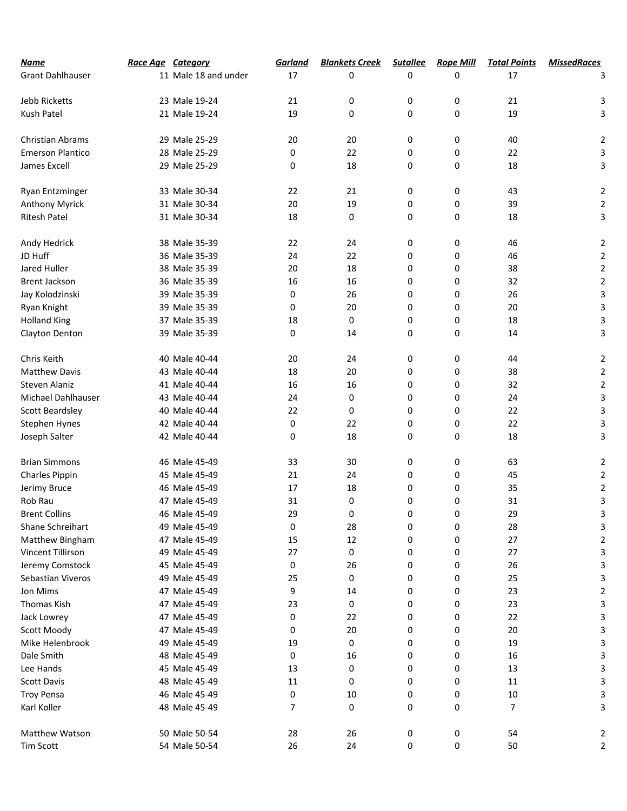| <b>Name</b>             | Race Age Category |                      | Garland | <b>Blankets Creek</b> | <b>Sutallee</b> | <b>Rope Mill</b> | <b>Total Points</b> | <b>MissedRaces</b> |
|-------------------------|-------------------|----------------------|---------|-----------------------|-----------------|------------------|---------------------|--------------------|
| <b>Grant Dahlhauser</b> |                   | 11 Male 18 and under | 17      | 0                     | 0               | 0                | 17                  | 3                  |
|                         |                   |                      |         |                       |                 |                  |                     |                    |
| Jebb Ricketts           |                   | 23 Male 19-24        | 21      | 0                     | 0               | 0                | 21                  | 3                  |
| Kush Patel              |                   | 21 Male 19-24        | 19      | 0                     | 0               | 0                | 19                  | 3                  |
| <b>Christian Abrams</b> |                   | 29 Male 25-29        | 20      | 20                    | 0               | 0                | 40                  | $\overline{2}$     |
| <b>Emerson Plantico</b> |                   | 28 Male 25-29        | 0       | 22                    | 0               | 0                | 22                  | 3                  |
| James Excell            |                   | 29 Male 25-29        | 0       | 18                    | 0               | 0                | 18                  | 3                  |
| Ryan Entzminger         |                   | 33 Male 30-34        | 22      | 21                    | 0               | 0                | 43                  | 2                  |
| <b>Anthony Myrick</b>   |                   | 31 Male 30-34        | 20      | 19                    | 0               | 0                | 39                  | $\overline{2}$     |
| <b>Ritesh Patel</b>     |                   | 31 Male 30-34        | 18      | 0                     | 0               | 0                | 18                  | 3                  |
| Andy Hedrick            |                   | 38 Male 35-39        | 22      | 24                    | 0               | 0                | 46                  | $\overline{2}$     |
| JD Huff                 |                   | 36 Male 35-39        | 24      | 22                    | 0               | 0                | 46                  | $\mathbf 2$        |
| Jared Huller            |                   | 38 Male 35-39        | 20      | 18                    | 0               | 0                | 38                  | $\mathbf 2$        |
| <b>Brent Jackson</b>    |                   | 36 Male 35-39        | 16      | 16                    | 0               | 0                | 32                  | $\mathbf 2$        |
| Jay Kolodzinski         |                   | 39 Male 35-39        | 0       | 26                    | 0               | 0                | 26                  | 3                  |
| Ryan Knight             |                   | 39 Male 35-39        | 0       | 20                    | 0               | 0                | 20                  | 3                  |
| <b>Holland King</b>     |                   | 37 Male 35-39        |         | 0                     | 0               | 0                | 18                  |                    |
|                         |                   | 39 Male 35-39        | 18<br>0 | 14                    | 0               | 0                | 14                  | 3<br>3             |
| Clayton Denton          |                   |                      |         |                       |                 |                  |                     |                    |
| Chris Keith             |                   | 40 Male 40-44        | 20      | 24                    | 0               | 0                | 44                  | $\overline{2}$     |
| <b>Matthew Davis</b>    |                   | 43 Male 40-44        | 18      | 20                    | 0               | 0                | 38                  | 2                  |
| Steven Alaniz           |                   | 41 Male 40-44        | 16      | 16                    | 0               | 0                | 32                  | $\mathbf 2$        |
| Michael Dahlhauser      |                   | 43 Male 40-44        | 24      | 0                     | 0               | 0                | 24                  | 3                  |
| <b>Scott Beardsley</b>  |                   | 40 Male 40-44        | 22      | 0                     | 0               | 0                | 22                  | 3                  |
| Stephen Hynes           |                   | 42 Male 40-44        | 0       | 22                    | 0               | 0                | 22                  | 3                  |
| Joseph Salter           |                   | 42 Male 40-44        | 0       | 18                    | 0               | 0                | 18                  | 3                  |
| <b>Brian Simmons</b>    |                   | 46 Male 45-49        | 33      | 30                    | 0               | 0                | 63                  | $\overline{2}$     |
| Charles Pippin          |                   | 45 Male 45-49        | 21      | 24                    | 0               | 0                | 45                  | $\mathbf 2$        |
| Jerimy Bruce            |                   | 46 Male 45-49        | 17      | 18                    | 0               | 0                | 35                  | $\overline{2}$     |
| Rob Rau                 |                   | 47 Male 45-49        | 31      | 0                     | 0               | 0                | 31                  | 3                  |
| <b>Brent Collins</b>    |                   | 46 Male 45-49        | 29      | 0                     | 0               | 0                | 29                  | J.                 |
| Shane Schreihart        |                   | 49 Male 45-49        | 0       | 28                    | 0               | 0                | 28                  | 3                  |
| Matthew Bingham         |                   | 47 Male 45-49        | 15      | 12                    | 0               | 0                | 27                  | 2                  |
| Vincent Tillirson       |                   | 49 Male 45-49        | 27      | 0                     | 0               | 0                | 27                  | 3                  |
| Jeremy Comstock         |                   | 45 Male 45-49        | 0       | 26                    | 0               | 0                | 26                  | 3                  |
| Sebastian Viveros       |                   | 49 Male 45-49        | 25      | 0                     | 0               | 0                | 25                  | 3                  |
| Jon Mims                |                   | 47 Male 45-49        | 9       | 14                    | 0               | 0                | 23                  | 2                  |
| <b>Thomas Kish</b>      |                   | 47 Male 45-49        | 23      | 0                     | 0               | 0                | 23                  | 3                  |
| Jack Lowrey             |                   | 47 Male 45-49        | 0       | 22                    | 0               | 0                | 22                  | 3                  |
| Scott Moody             |                   | 47 Male 45-49        | 0       | 20                    | 0               | 0                | 20                  | 3                  |
| Mike Helenbrook         |                   | 49 Male 45-49        | 19      | 0                     | 0               | 0                | 19                  |                    |
| Dale Smith              |                   | 48 Male 45-49        | 0       | 16                    | 0               | 0                | 16                  | 3                  |
| Lee Hands               |                   | 45 Male 45-49        | 13      | 0                     | 0               | 0                | 13                  | 3                  |
| Scott Davis             |                   | 48 Male 45-49        | 11      | 0                     | 0               | 0                | 11                  | 3                  |
| <b>Troy Pensa</b>       |                   | 46 Male 45-49        | 0       | 10                    | 0               | 0                | 10                  |                    |
|                         |                   |                      | 7       |                       | 0               | 0                | 7                   |                    |
| Karl Koller             |                   | 48 Male 45-49        |         | 0                     |                 |                  |                     | 3                  |
| Matthew Watson          |                   | 50 Male 50-54        | 28      | 26                    | 0               | 0                | 54                  | 2                  |
| <b>Tim Scott</b>        |                   | 54 Male 50-54        | 26      | 24                    | 0               | 0                | 50                  | 2                  |